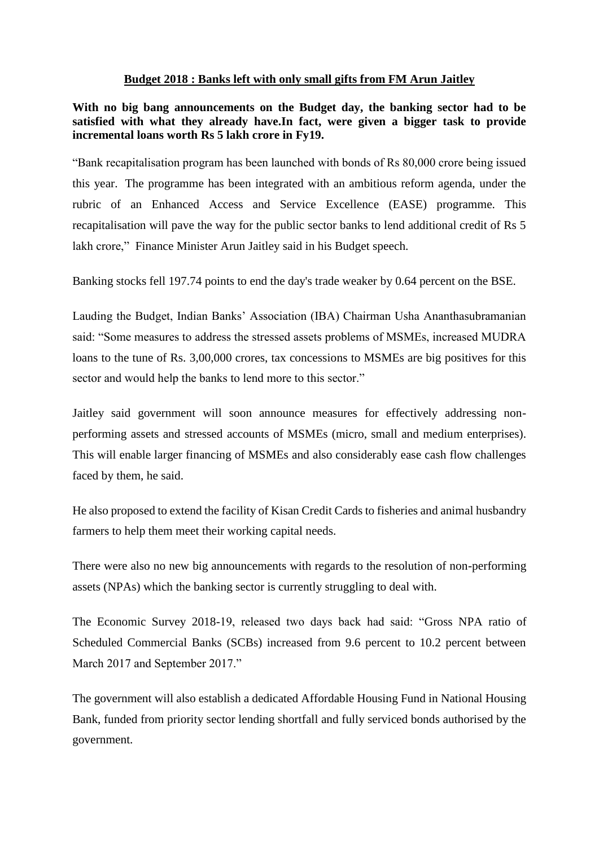## **Budget 2018 : Banks left with only small gifts from FM Arun Jaitley**

**With no big bang announcements on the Budget day, the banking sector had to be satisfied with what they already have.In fact, were given a bigger task to provide incremental loans worth Rs 5 lakh crore in Fy19.**

"Bank recapitalisation program has been launched with bonds of Rs 80,000 crore being issued this year. The programme has been integrated with an ambitious reform agenda, under the rubric of an Enhanced Access and Service Excellence (EASE) programme. This recapitalisation will pave the way for the public sector banks to lend additional credit of Rs 5 lakh crore," Finance Minister Arun Jaitley said in his Budget speech.

Banking stocks fell 197.74 points to end the day's trade weaker by 0.64 percent on the BSE.

Lauding the Budget, Indian Banks' Association (IBA) Chairman Usha Ananthasubramanian said: "Some measures to address the stressed assets problems of MSMEs, increased MUDRA loans to the tune of Rs. 3,00,000 crores, tax concessions to MSMEs are big positives for this sector and would help the banks to lend more to this sector."

Jaitley said government will soon announce measures for effectively addressing nonperforming assets and stressed accounts of MSMEs (micro, small and medium enterprises). This will enable larger financing of MSMEs and also considerably ease cash flow challenges faced by them, he said.

He also proposed to extend the facility of Kisan Credit Cards to fisheries and animal husbandry farmers to help them meet their working capital needs.

There were also no new big announcements with regards to the resolution of non-performing assets (NPAs) which the banking sector is currently struggling to deal with.

The Economic Survey 2018-19, released two days back had said: "Gross NPA ratio of Scheduled Commercial Banks (SCBs) increased from 9.6 percent to 10.2 percent between March 2017 and September 2017."

The government will also establish a dedicated Affordable Housing Fund in National Housing Bank, funded from priority sector lending shortfall and fully serviced bonds authorised by the government.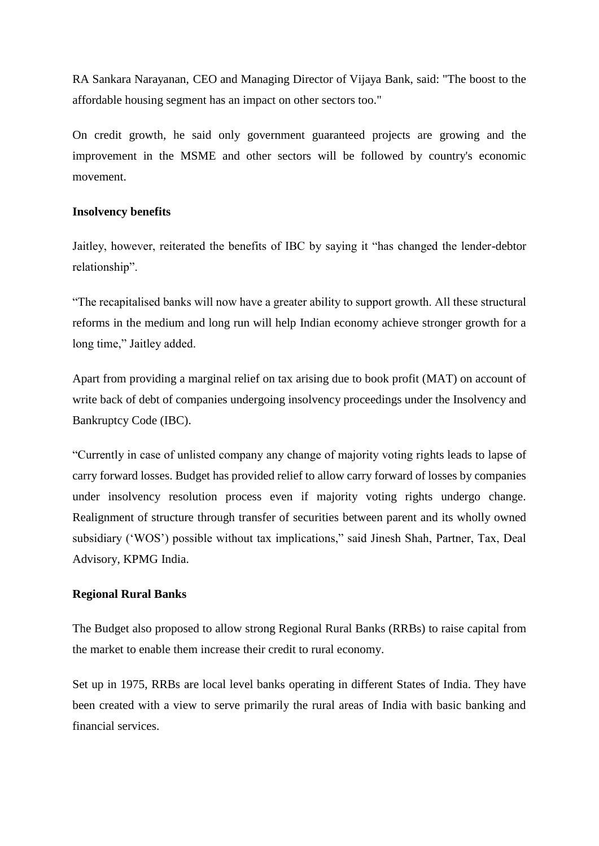RA Sankara Narayanan, CEO and Managing Director of Vijaya Bank, said: "The boost to the affordable housing segment has an impact on other sectors too."

On credit growth, he said only government guaranteed projects are growing and the improvement in the MSME and other sectors will be followed by country's economic movement.

## **Insolvency benefits**

Jaitley, however, reiterated the benefits of IBC by saying it "has changed the lender-debtor relationship".

"The recapitalised banks will now have a greater ability to support growth. All these structural reforms in the medium and long run will help Indian economy achieve stronger growth for a long time," Jaitley added.

Apart from providing a marginal relief on tax arising due to book profit (MAT) on account of write back of debt of companies undergoing insolvency proceedings under the Insolvency and Bankruptcy Code (IBC).

"Currently in case of unlisted company any change of majority voting rights leads to lapse of carry forward losses. Budget has provided relief to allow carry forward of losses by companies under insolvency resolution process even if majority voting rights undergo change. Realignment of structure through transfer of securities between parent and its wholly owned subsidiary ('WOS') possible without tax implications," said Jinesh Shah, Partner, Tax, Deal Advisory, KPMG India.

## **Regional Rural Banks**

The Budget also proposed to allow strong Regional Rural Banks (RRBs) to raise capital from the market to enable them increase their credit to rural economy.

Set up in 1975, RRBs are local level banks operating in different States of India. They have been created with a view to serve primarily the rural areas of India with basic banking and financial services.